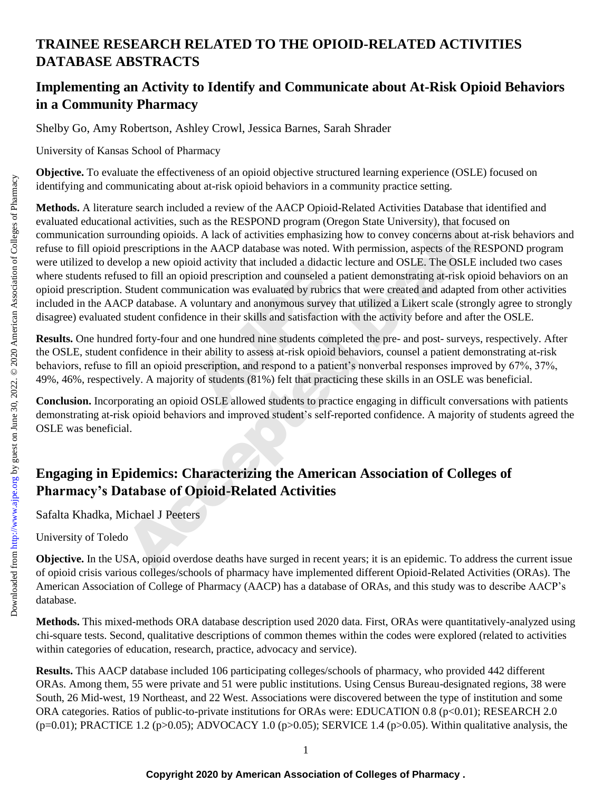## **TRAINEE RESEARCH RELATED TO THE OPIOID-RELATED ACTIVITIES DATABASE ABSTRACTS**

## **Implementing an Activity to Identify and Communicate about At-Risk Opioid Behaviors in a Community Pharmacy**

Shelby Go, Amy Robertson, Ashley Crowl, Jessica Barnes, Sarah Shrader

University of Kansas School of Pharmacy

**Objective.** To evaluate the effectiveness of an opioid objective structured learning experience (OSLE) focused on identifying and communicating about at-risk opioid behaviors in a community practice setting.

not activity that included a didactic in<br>ioid prescription and counseled a pa<br>inication was evaluated by rubrics the<br>woluntary and anonymous survey than<br>there in their skills and satisfaction w<br>d one hundred nine students al activities, such as the RESPOND program (Oregon State University), that focus<br>counding opioids. A lack of activities emphasizing how to convey concerns about a<br>prescriptions in the AACP database was noted. With permissi **Methods.** A literature search included a review of the AACP Opioid-Related Activities Database that identified and evaluated educational activities, such as the RESPOND program (Oregon State University), that focused on communication surrounding opioids. A lack of activities emphasizing how to convey concerns about at-risk behaviors and refuse to fill opioid prescriptions in the AACP database was noted. With permission, aspects of the RESPOND program were utilized to develop a new opioid activity that included a didactic lecture and OSLE. The OSLE included two cases where students refused to fill an opioid prescription and counseled a patient demonstrating at-risk opioid behaviors on an opioid prescription. Student communication was evaluated by rubrics that were created and adapted from other activities included in the AACP database. A voluntary and anonymous survey that utilized a Likert scale (strongly agree to strongly disagree) evaluated student confidence in their skills and satisfaction with the activity before and after the OSLE.

**Results.** One hundred forty-four and one hundred nine students completed the pre- and post- surveys, respectively. After the OSLE, student confidence in their ability to assess at-risk opioid behaviors, counsel a patient demonstrating at-risk behaviors, refuse to fill an opioid prescription, and respond to a patient's nonverbal responses improved by 67%, 37%, 49%, 46%, respectively. A majority of students (81%) felt that practicing these skills in an OSLE was beneficial.

**Conclusion.** Incorporating an opioid OSLE allowed students to practice engaging in difficult conversations with patients demonstrating at-risk opioid behaviors and improved student's self-reported confidence. A majority of students agreed the OSLE was beneficial.

## **Engaging in Epidemics: Characterizing the American Association of Colleges of Pharmacy's Database of Opioid-Related Activities**

Safalta Khadka, Michael J Peeters

University of Toledo

**Objective.** In the USA, opioid overdose deaths have surged in recent years; it is an epidemic. To address the current issue of opioid crisis various colleges/schools of pharmacy have implemented different Opioid-Related Activities (ORAs). The American Association of College of Pharmacy (AACP) has a database of ORAs, and this study was to describe AACP's database.

**Methods.** This mixed-methods ORA database description used 2020 data. First, ORAs were quantitatively-analyzed using chi-square tests. Second, qualitative descriptions of common themes within the codes were explored (related to activities within categories of education, research, practice, advocacy and service).

**Results.** This AACP database included 106 participating colleges/schools of pharmacy, who provided 442 different ORAs. Among them, 55 were private and 51 were public institutions. Using Census Bureau-designated regions, 38 were South, 26 Mid-west, 19 Northeast, and 22 West. Associations were discovered between the type of institution and some ORA categories. Ratios of public-to-private institutions for ORAs were: EDUCATION 0.8 (p<0.01); RESEARCH 2.0 ( $p=0.01$ ); PRACTICE 1.2 ( $p>0.05$ ); ADVOCACY 1.0 ( $p>0.05$ ); SERVICE 1.4 ( $p>0.05$ ). Within qualitative analysis, the